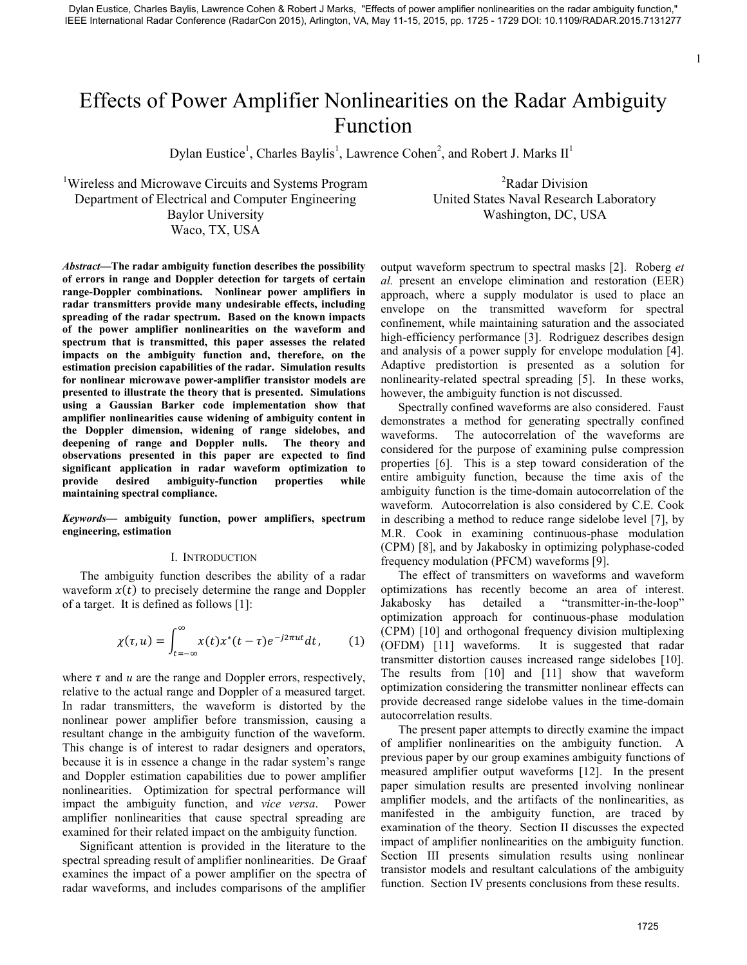# Effects of Power Amplifier Nonlinearities on the Radar Ambiguity Function

Dylan Eustice<sup>1</sup>, Charles Baylis<sup>1</sup>, Lawrence Cohen<sup>2</sup>, and Robert J. Marks  $II<sup>1</sup>$ 

<sup>1</sup>Wireless and Microwave Circuits and Systems Program Department of Electrical and Computer Engineering Baylor University Waco, TX, USA

<sup>2</sup>Radar Division United States Naval Research Laboratory Washington, DC, USA

*Abstract***—The radar ambiguity function describes the possibility of errors in range and Doppler detection for targets of certain range-Doppler combinations. Nonlinear power amplifiers in radar transmitters provide many undesirable effects, including spreading of the radar spectrum. Based on the known impacts of the power amplifier nonlinearities on the waveform and spectrum that is transmitted, this paper assesses the related impacts on the ambiguity function and, therefore, on the estimation precision capabilities of the radar. Simulation results for nonlinear microwave power-amplifier transistor models are presented to illustrate the theory that is presented. Simulations using a Gaussian Barker code implementation show that amplifier nonlinearities cause widening of ambiguity content in the Doppler dimension, widening of range sidelobes, and deepening of range and Doppler nulls. The theory and observations presented in this paper are expected to find significant application in radar waveform optimization to provide desired ambiguity-function properties while maintaining spectral compliance.**  273 Determines the energy of the second state is a second of the radio of the second of the second of the second of the second of the second of the second of the second of the second of the second of the second of the se

*Keywords***— ambiguity function, power amplifiers, spectrum engineering, estimation** 

# I. INTRODUCTION

The ambiguity function describes the ability of a radar waveform  $x(t)$  to precisely determine the range and Doppler of a target. It is defined as follows [1]:

$$
\chi(\tau, u) = \int_{t=-\infty}^{\infty} x(t) x^*(t-\tau) e^{-j2\pi ut} dt, \qquad (1)
$$

where  $\tau$  and  $u$  are the range and Doppler errors, respectively, relative to the actual range and Doppler of a measured target. In radar transmitters, the waveform is distorted by the nonlinear power amplifier before transmission, causing a resultant change in the ambiguity function of the waveform. This change is of interest to radar designers and operators, because it is in essence a change in the radar system's range and Doppler estimation capabilities due to power amplifier nonlinearities. Optimization for spectral performance will impact the ambiguity function, and *vice versa*. Power amplifier nonlinearities that cause spectral spreading are examined for their related impact on the ambiguity function.

Significant attention is provided in the literature to the spectral spreading result of amplifier nonlinearities. De Graaf examines the impact of a power amplifier on the spectra of radar waveforms, and includes comparisons of the amplifier

output waveform spectrum to spectral masks [2]. Roberg *et al.* present an envelope elimination and restoration (EER) approach, where a supply modulator is used to place an envelope on the transmitted waveform for spectral confinement, while maintaining saturation and the associated high-efficiency performance [3]. Rodriguez describes design and analysis of a power supply for envelope modulation [4]. Adaptive predistortion is presented as a solution for nonlinearity-related spectral spreading [5]. In these works, however, the ambiguity function is not discussed.

Spectrally confined waveforms are also considered. Faust demonstrates a method for generating spectrally confined waveforms. The autocorrelation of the waveforms are considered for the purpose of examining pulse compression properties [6]. This is a step toward consideration of the entire ambiguity function, because the time axis of the ambiguity function is the time-domain autocorrelation of the waveform. Autocorrelation is also considered by C.E. Cook in describing a method to reduce range sidelobe level [7], by M.R. Cook in examining continuous-phase modulation (CPM) [8], and by Jakabosky in optimizing polyphase-coded frequency modulation (PFCM) waveforms [9].

The effect of transmitters on waveforms and waveform optimizations has recently become an area of interest. Jakabosky has detailed a "transmitter-in-the-loop" optimization approach for continuous-phase modulation (CPM) [10] and orthogonal frequency division multiplexing (OFDM) [11] waveforms. It is suggested that radar transmitter distortion causes increased range sidelobes [10]. The results from [10] and [11] show that waveform optimization considering the transmitter nonlinear effects can provide decreased range sidelobe values in the time-domain autocorrelation results.

The present paper attempts to directly examine the impact of amplifier nonlinearities on the ambiguity function. A previous paper by our group examines ambiguity functions of measured amplifier output waveforms [12]. In the present paper simulation results are presented involving nonlinear amplifier models, and the artifacts of the nonlinearities, as manifested in the ambiguity function, are traced by examination of the theory. Section II discusses the expected impact of amplifier nonlinearities on the ambiguity function. Section III presents simulation results using nonlinear transistor models and resultant calculations of the ambiguity function. Section IV presents conclusions from these results.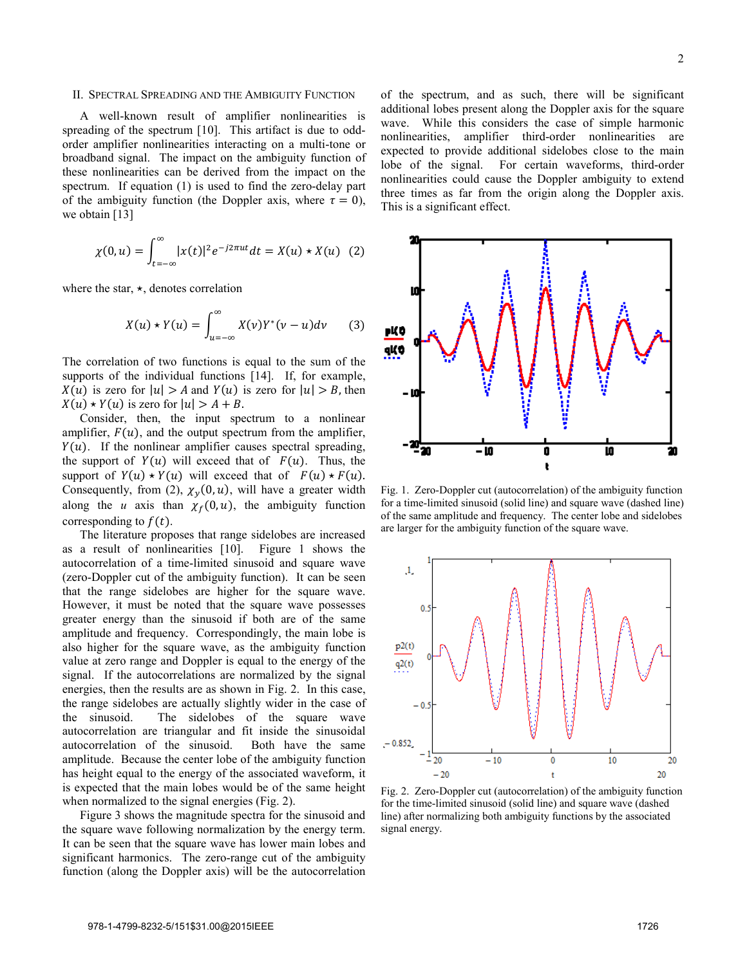# II. SPECTRAL SPREADING AND THE AMBIGUITY FUNCTION

A well-known result of amplifier nonlinearities is spreading of the spectrum [10]. This artifact is due to oddorder amplifier nonlinearities interacting on a multi-tone or broadband signal. The impact on the ambiguity function of these nonlinearities can be derived from the impact on the spectrum. If equation (1) is used to find the zero-delay part of the ambiguity function (the Doppler axis, where  $\tau = 0$ ), we obtain [13]

$$
\chi(0, u) = \int_{t = -\infty}^{\infty} |x(t)|^2 e^{-j2\pi ut} dt = X(u) \star X(u) \tag{2}
$$

where the star,  $\star$ , denotes correlation

$$
X(u) \star Y(u) = \int_{u = -\infty}^{\infty} X(v)Y^*(v - u)dv \qquad (3)
$$

The correlation of two functions is equal to the sum of the supports of the individual functions [14]. If, for example,  $X(u)$  is zero for  $|u| > A$  and  $Y(u)$  is zero for  $|u| > B$ , then  $X(u) \star Y(u)$  is zero for  $|u| > A + B$ .

Consider, then, the input spectrum to a nonlinear amplifier,  $F(u)$ , and the output spectrum from the amplifier,  $Y(u)$ . If the nonlinear amplifier causes spectral spreading, the support of  $Y(u)$  will exceed that of  $F(u)$ . Thus, the support of  $Y(u) * Y(u)$  will exceed that of  $F(u) * F(u)$ . Consequently, from (2),  $\chi_{\nu}(0, u)$ , will have a greater width along the *u* axis than  $\chi_f(0, u)$ , the ambiguity function corresponding to  $f(t)$ .

The literature proposes that range sidelobes are increased as a result of nonlinearities [10]. Figure 1 shows the autocorrelation of a time-limited sinusoid and square wave (zero-Doppler cut of the ambiguity function). It can be seen that the range sidelobes are higher for the square wave. However, it must be noted that the square wave possesses greater energy than the sinusoid if both are of the same amplitude and frequency. Correspondingly, the main lobe is also higher for the square wave, as the ambiguity function value at zero range and Doppler is equal to the energy of the signal. If the autocorrelations are normalized by the signal energies, then the results are as shown in Fig. 2. In this case, the range sidelobes are actually slightly wider in the case of the sinusoid. The sidelobes of the square wave autocorrelation are triangular and fit inside the sinusoidal autocorrelation of the sinusoid. Both have the same amplitude. Because the center lobe of the ambiguity function has height equal to the energy of the associated waveform, it is expected that the main lobes would be of the same height when normalized to the signal energies (Fig. 2).

Figure 3 shows the magnitude spectra for the sinusoid and the square wave following normalization by the energy term. It can be seen that the square wave has lower main lobes and significant harmonics. The zero-range cut of the ambiguity function (along the Doppler axis) will be the autocorrelation of the spectrum, and as such, there will be significant additional lobes present along the Doppler axis for the square wave. While this considers the case of simple harmonic nonlinearities, amplifier third-order nonlinearities are expected to provide additional sidelobes close to the main lobe of the signal. For certain waveforms, third-order nonlinearities could cause the Doppler ambiguity to extend three times as far from the origin along the Doppler axis. This is a significant effect.



Fig. 1. Zero-Doppler cut (autocorrelation) of the ambiguity function for a time-limited sinusoid (solid line) and square wave (dashed line) of the same amplitude and frequency. The center lobe and sidelobes are larger for the ambiguity function of the square wave.



Fig. 2. Zero-Doppler cut (autocorrelation) of the ambiguity function for the time-limited sinusoid (solid line) and square wave (dashed line) after normalizing both ambiguity functions by the associated signal energy.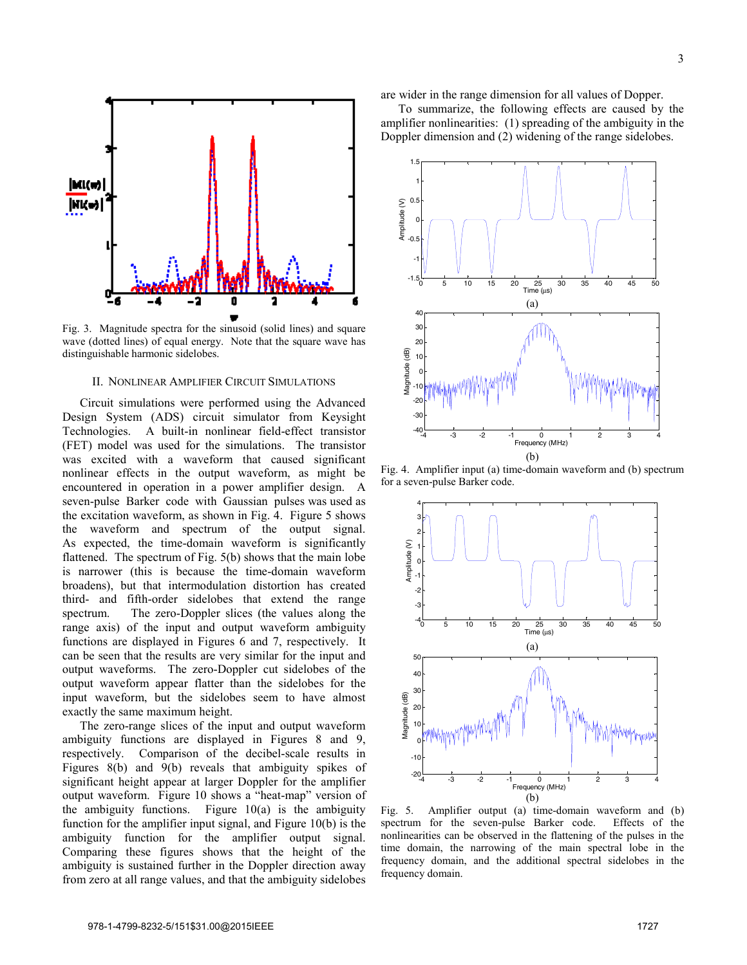

Fig. 3. Magnitude spectra for the sinusoid (solid lines) and square wave (dotted lines) of equal energy. Note that the square wave has distinguishable harmonic sidelobes.

## II. NONLINEAR AMPLIFIER CIRCUIT SIMULATIONS

Circuit simulations were performed using the Advanced Design System (ADS) circuit simulator from Keysight Technologies. A built-in nonlinear field-effect transistor (FET) model was used for the simulations. The transistor was excited with a waveform that caused significant nonlinear effects in the output waveform, as might be encountered in operation in a power amplifier design. A seven-pulse Barker code with Gaussian pulses was used as the excitation waveform, as shown in Fig. 4. Figure 5 shows the waveform and spectrum of the output signal. As expected, the time-domain waveform is significantly flattened. The spectrum of Fig. 5(b) shows that the main lobe is narrower (this is because the time-domain waveform broadens), but that intermodulation distortion has created third- and fifth-order sidelobes that extend the range spectrum. The zero-Doppler slices (the values along the range axis) of the input and output waveform ambiguity functions are displayed in Figures 6 and 7, respectively. It can be seen that the results are very similar for the input and output waveforms. The zero-Doppler cut sidelobes of the output waveform appear flatter than the sidelobes for the input waveform, but the sidelobes seem to have almost exactly the same maximum height.

The zero-range slices of the input and output waveform ambiguity functions are displayed in Figures 8 and 9, respectively. Comparison of the decibel-scale results in Figures 8(b) and 9(b) reveals that ambiguity spikes of significant height appear at larger Doppler for the amplifier output waveform. Figure 10 shows a "heat-map" version of the ambiguity functions. Figure  $10(a)$  is the ambiguity function for the amplifier input signal, and Figure 10(b) is the ambiguity function for the amplifier output signal. Comparing these figures shows that the height of the ambiguity is sustained further in the Doppler direction away from zero at all range values, and that the ambiguity sidelobes

are wider in the range dimension for all values of Dopper.

To summarize, the following effects are caused by the amplifier nonlinearities: (1) spreading of the ambiguity in the Doppler dimension and (2) widening of the range sidelobes.



Fig. 4. Amplifier input (a) time-domain waveform and (b) spectrum for a seven-pulse Barker code.



Fig. 5. Amplifier output (a) time-domain waveform and (b) spectrum for the seven-pulse Barker code. Effects of the nonlinearities can be observed in the flattening of the pulses in the time domain, the narrowing of the main spectral lobe in the frequency domain, and the additional spectral sidelobes in the frequency domain.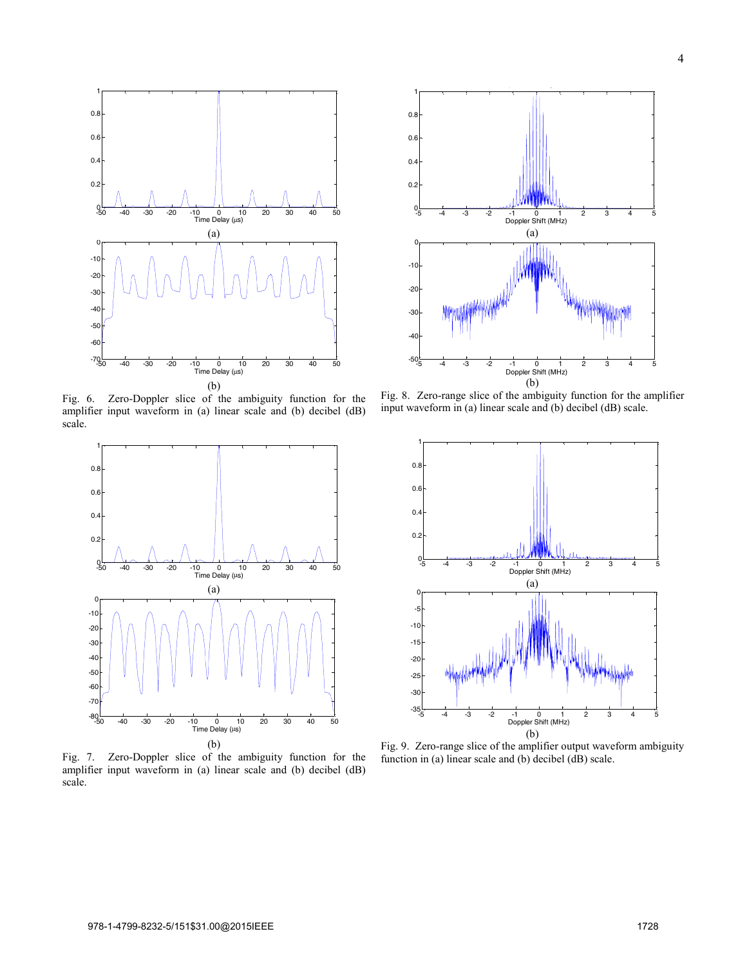

Fig. 6. Zero-Doppler slice of the ambiguity function for the amplifier input waveform in (a) linear scale and (b) decibel (dB) scale.



Fig. 7. Zero-Doppler slice of the ambiguity function for the amplifier input waveform in (a) linear scale and (b) decibel (dB) scale.



Fig. 8. Zero-range slice of the ambiguity function for the amplifier input waveform in (a) linear scale and (b) decibel (dB) scale.



Fig. 9. Zero-range slice of the amplifier output waveform ambiguity function in (a) linear scale and (b) decibel (dB) scale.